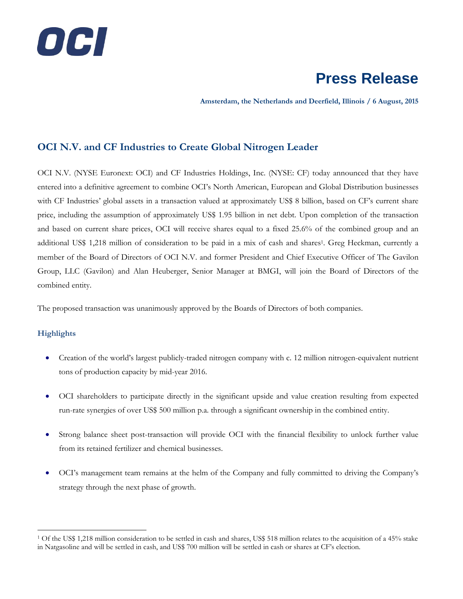

**Amsterdam, the Netherlands and Deerfield, Illinois / 6 August, 2015**

#### **OCI N.V. and CF Industries to Create Global Nitrogen Leader**

OCI N.V. (NYSE Euronext: OCI) and CF Industries Holdings, Inc. (NYSE: CF) today announced that they have entered into a definitive agreement to combine OCI's North American, European and Global Distribution businesses with CF Industries' global assets in a transaction valued at approximately US\$ 8 billion, based on CF's current share price, including the assumption of approximately US\$ 1.95 billion in net debt. Upon completion of the transaction and based on current share prices, OCI will receive shares equal to a fixed 25.6% of the combined group and an additional US\$ 1,218 million of consideration to be paid in a mix of cash and shares<sup>1</sup>. Greg Heckman, currently a member of the Board of Directors of OCI N.V. and former President and Chief Executive Officer of The Gavilon Group, LLC (Gavilon) and Alan Heuberger, Senior Manager at BMGI, will join the Board of Directors of the combined entity.

The proposed transaction was unanimously approved by the Boards of Directors of both companies.

#### **Highlights**

 $\overline{a}$ 

- Creation of the world's largest publicly-traded nitrogen company with c. 12 million nitrogen-equivalent nutrient tons of production capacity by mid-year 2016.
- OCI shareholders to participate directly in the significant upside and value creation resulting from expected run-rate synergies of over US\$ 500 million p.a. through a significant ownership in the combined entity.
- Strong balance sheet post-transaction will provide OCI with the financial flexibility to unlock further value from its retained fertilizer and chemical businesses.
- OCI's management team remains at the helm of the Company and fully committed to driving the Company's strategy through the next phase of growth.

<sup>1</sup> Of the US\$ 1,218 million consideration to be settled in cash and shares, US\$ 518 million relates to the acquisition of a 45% stake in Natgasoline and will be settled in cash, and US\$ 700 million will be settled in cash or shares at CF's election.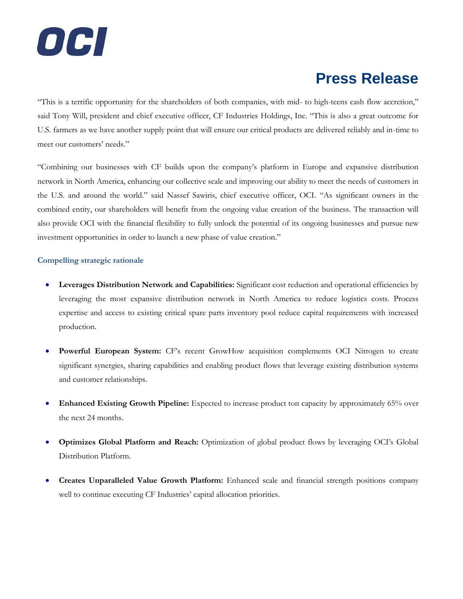

"This is a terrific opportunity for the shareholders of both companies, with mid- to high-teens cash flow accretion," said Tony Will, president and chief executive officer, CF Industries Holdings, Inc. "This is also a great outcome for U.S. farmers as we have another supply point that will ensure our critical products are delivered reliably and in-time to meet our customers' needs."

"Combining our businesses with CF builds upon the company's platform in Europe and expansive distribution network in North America, enhancing our collective scale and improving our ability to meet the needs of customers in the U.S. and around the world." said Nassef Sawiris, chief executive officer, OCI. "As significant owners in the combined entity, our shareholders will benefit from the ongoing value creation of the business. The transaction will also provide OCI with the financial flexibility to fully unlock the potential of its ongoing businesses and pursue new investment opportunities in order to launch a new phase of value creation."

#### **Compelling strategic rationale**

- **Leverages Distribution Network and Capabilities:** Significant cost reduction and operational efficiencies by leveraging the most expansive distribution network in North America to reduce logistics costs. Process expertise and access to existing critical spare parts inventory pool reduce capital requirements with increased production.
- **Powerful European System:** CF's recent GrowHow acquisition complements OCI Nitrogen to create significant synergies, sharing capabilities and enabling product flows that leverage existing distribution systems and customer relationships.
- **Enhanced Existing Growth Pipeline:** Expected to increase product ton capacity by approximately 65% over the next 24 months.
- **Optimizes Global Platform and Reach:** Optimization of global product flows by leveraging OCI's Global Distribution Platform.
- **Creates Unparalleled Value Growth Platform:** Enhanced scale and financial strength positions company well to continue executing CF Industries' capital allocation priorities.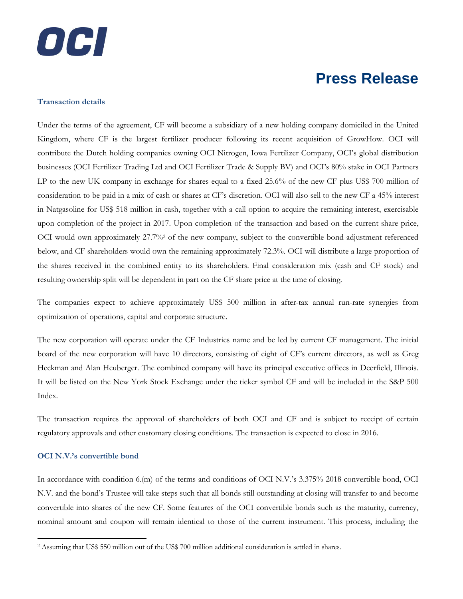# OCI

### **Press Release**

#### **Transaction details**

Under the terms of the agreement, CF will become a subsidiary of a new holding company domiciled in the United Kingdom, where CF is the largest fertilizer producer following its recent acquisition of GrowHow. OCI will contribute the Dutch holding companies owning OCI Nitrogen, Iowa Fertilizer Company, OCI's global distribution businesses (OCI Fertilizer Trading Ltd and OCI Fertilizer Trade & Supply BV) and OCI's 80% stake in OCI Partners LP to the new UK company in exchange for shares equal to a fixed 25.6% of the new CF plus US\$ 700 million of consideration to be paid in a mix of cash or shares at CF's discretion. OCI will also sell to the new CF a 45% interest in Natgasoline for US\$ 518 million in cash, together with a call option to acquire the remaining interest, exercisable upon completion of the project in 2017. Upon completion of the transaction and based on the current share price, OCI would own approximately 27.7%<sup>2</sup> of the new company, subject to the convertible bond adjustment referenced below, and CF shareholders would own the remaining approximately 72.3%. OCI will distribute a large proportion of the shares received in the combined entity to its shareholders. Final consideration mix (cash and CF stock) and resulting ownership split will be dependent in part on the CF share price at the time of closing.

The companies expect to achieve approximately US\$ 500 million in after-tax annual run-rate synergies from optimization of operations, capital and corporate structure.

The new corporation will operate under the CF Industries name and be led by current CF management. The initial board of the new corporation will have 10 directors, consisting of eight of CF's current directors, as well as Greg Heckman and Alan Heuberger. The combined company will have its principal executive offices in Deerfield, Illinois. It will be listed on the New York Stock Exchange under the ticker symbol CF and will be included in the S&P 500 Index.

The transaction requires the approval of shareholders of both OCI and CF and is subject to receipt of certain regulatory approvals and other customary closing conditions. The transaction is expected to close in 2016.

#### **OCI N.V.'s convertible bond**

 $\overline{a}$ 

In accordance with condition 6.(m) of the terms and conditions of OCI N.V.'s 3.375% 2018 convertible bond, OCI N.V. and the bond's Trustee will take steps such that all bonds still outstanding at closing will transfer to and become convertible into shares of the new CF. Some features of the OCI convertible bonds such as the maturity, currency, nominal amount and coupon will remain identical to those of the current instrument. This process, including the

<sup>2</sup> Assuming that US\$ 550 million out of the US\$ 700 million additional consideration is settled in shares.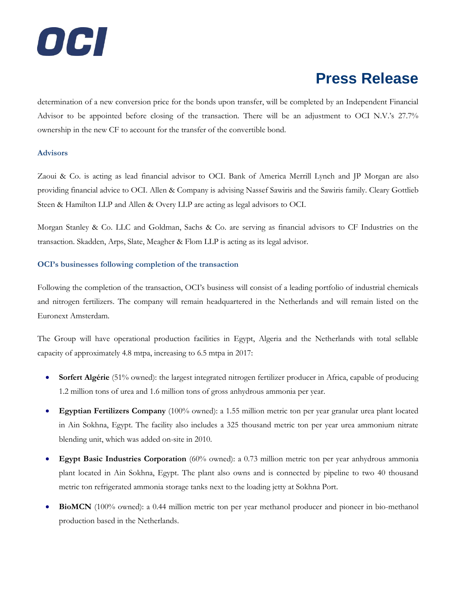

determination of a new conversion price for the bonds upon transfer, will be completed by an Independent Financial Advisor to be appointed before closing of the transaction. There will be an adjustment to OCI N.V.'s 27.7% ownership in the new CF to account for the transfer of the convertible bond.

#### **Advisors**

Zaoui & Co. is acting as lead financial advisor to OCI. Bank of America Merrill Lynch and JP Morgan are also providing financial advice to OCI. Allen & Company is advising Nassef Sawiris and the Sawiris family. Cleary Gottlieb Steen & Hamilton LLP and Allen & Overy LLP are acting as legal advisors to OCI.

Morgan Stanley & Co. LLC and Goldman, Sachs & Co. are serving as financial advisors to CF Industries on the transaction. Skadden, Arps, Slate, Meagher & Flom LLP is acting as its legal advisor.

#### **OCI's businesses following completion of the transaction**

Following the completion of the transaction, OCI's business will consist of a leading portfolio of industrial chemicals and nitrogen fertilizers. The company will remain headquartered in the Netherlands and will remain listed on the Euronext Amsterdam.

The Group will have operational production facilities in Egypt, Algeria and the Netherlands with total sellable capacity of approximately 4.8 mtpa, increasing to 6.5 mtpa in 2017:

- **Sorfert Algérie** (51% owned): the largest integrated nitrogen fertilizer producer in Africa, capable of producing 1.2 million tons of urea and 1.6 million tons of gross anhydrous ammonia per year.
- **Egyptian Fertilizers Company** (100% owned): a 1.55 million metric ton per year granular urea plant located in Ain Sokhna, Egypt. The facility also includes a 325 thousand metric ton per year urea ammonium nitrate blending unit, which was added on-site in 2010.
- **Egypt Basic Industries Corporation** (60% owned): a 0.73 million metric ton per year anhydrous ammonia plant located in Ain Sokhna, Egypt. The plant also owns and is connected by pipeline to two 40 thousand metric ton refrigerated ammonia storage tanks next to the loading jetty at Sokhna Port.
- **BioMCN** (100% owned): a 0.44 million metric ton per year methanol producer and pioneer in bio-methanol production based in the Netherlands.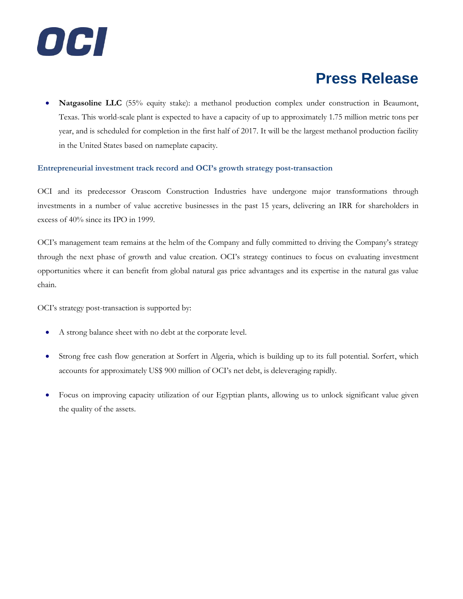

 **Natgasoline LLC** (55% equity stake): a methanol production complex under construction in Beaumont, Texas. This world-scale plant is expected to have a capacity of up to approximately 1.75 million metric tons per year, and is scheduled for completion in the first half of 2017. It will be the largest methanol production facility in the United States based on nameplate capacity.

#### **Entrepreneurial investment track record and OCI's growth strategy post-transaction**

OCI and its predecessor Orascom Construction Industries have undergone major transformations through investments in a number of value accretive businesses in the past 15 years, delivering an IRR for shareholders in excess of 40% since its IPO in 1999.

OCI's management team remains at the helm of the Company and fully committed to driving the Company's strategy through the next phase of growth and value creation. OCI's strategy continues to focus on evaluating investment opportunities where it can benefit from global natural gas price advantages and its expertise in the natural gas value chain.

OCI's strategy post-transaction is supported by:

- A strong balance sheet with no debt at the corporate level.
- Strong free cash flow generation at Sorfert in Algeria, which is building up to its full potential. Sorfert, which accounts for approximately US\$ 900 million of OCI's net debt, is deleveraging rapidly.
- Focus on improving capacity utilization of our Egyptian plants, allowing us to unlock significant value given the quality of the assets.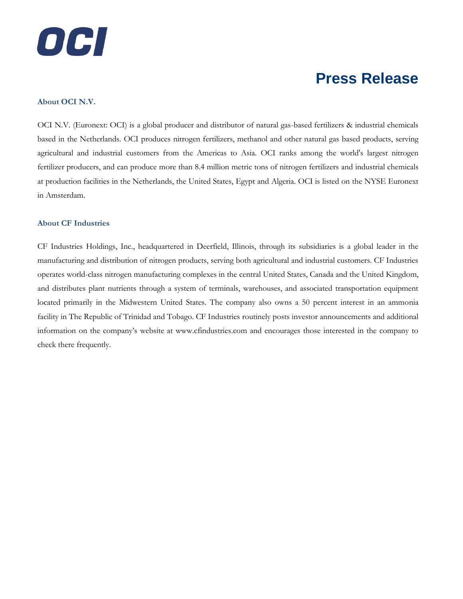

#### **About OCI N.V.**

OCI N.V. (Euronext: OCI) is a global producer and distributor of natural gas-based fertilizers & industrial chemicals based in the Netherlands. OCI produces nitrogen fertilizers, methanol and other natural gas based products, serving agricultural and industrial customers from the Americas to Asia. OCI ranks among the world's largest nitrogen fertilizer producers, and can produce more than 8.4 million metric tons of nitrogen fertilizers and industrial chemicals at production facilities in the Netherlands, the United States, Egypt and Algeria. OCI is listed on the NYSE Euronext in Amsterdam.

#### **About CF Industries**

CF Industries Holdings, Inc., headquartered in Deerfield, Illinois, through its subsidiaries is a global leader in the manufacturing and distribution of nitrogen products, serving both agricultural and industrial customers. CF Industries operates world-class nitrogen manufacturing complexes in the central United States, Canada and the United Kingdom, and distributes plant nutrients through a system of terminals, warehouses, and associated transportation equipment located primarily in the Midwestern United States. The company also owns a 50 percent interest in an ammonia facility in The Republic of Trinidad and Tobago. CF Industries routinely posts investor announcements and additional information on the company's website at www.cfindustries.com and encourages those interested in the company to check there frequently.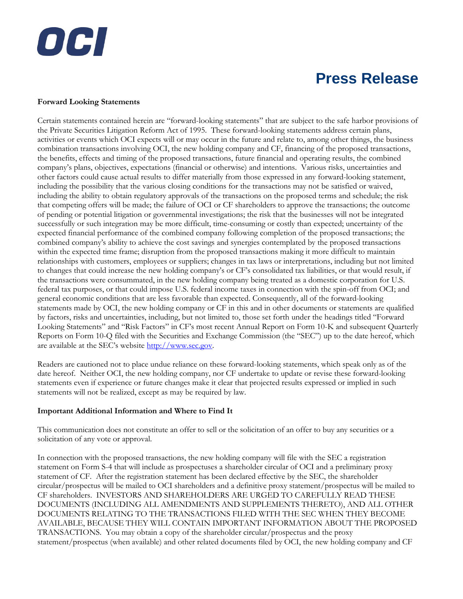#### **Forward Looking Statements**

OCI

Certain statements contained herein are "forward-looking statements" that are subject to the safe harbor provisions of the Private Securities Litigation Reform Act of 1995. These forward-looking statements address certain plans, activities or events which OCI expects will or may occur in the future and relate to, among other things, the business combination transactions involving OCI, the new holding company and CF, financing of the proposed transactions, the benefits, effects and timing of the proposed transactions, future financial and operating results, the combined company's plans, objectives, expectations (financial or otherwise) and intentions. Various risks, uncertainties and other factors could cause actual results to differ materially from those expressed in any forward-looking statement, including the possibility that the various closing conditions for the transactions may not be satisfied or waived, including the ability to obtain regulatory approvals of the transactions on the proposed terms and schedule; the risk that competing offers will be made; the failure of OCI or CF shareholders to approve the transactions; the outcome of pending or potential litigation or governmental investigations; the risk that the businesses will not be integrated successfully or such integration may be more difficult, time-consuming or costly than expected; uncertainty of the expected financial performance of the combined company following completion of the proposed transactions; the combined company's ability to achieve the cost savings and synergies contemplated by the proposed transactions within the expected time frame; disruption from the proposed transactions making it more difficult to maintain relationships with customers, employees or suppliers; changes in tax laws or interpretations, including but not limited to changes that could increase the new holding company's or CF's consolidated tax liabilities, or that would result, if the transactions were consummated, in the new holding company being treated as a domestic corporation for U.S. federal tax purposes, or that could impose U.S. federal income taxes in connection with the spin-off from OCI; and general economic conditions that are less favorable than expected. Consequently, all of the forward-looking statements made by OCI, the new holding company or CF in this and in other documents or statements are qualified by factors, risks and uncertainties, including, but not limited to, those set forth under the headings titled "Forward Looking Statements" and "Risk Factors" in CF's most recent Annual Report on Form 10-K and subsequent Quarterly Reports on Form 10-Q filed with the Securities and Exchange Commission (the "SEC") up to the date hereof, which are available at the SEC's website [http://www.sec.gov.](http://www.sec.gov/)

Readers are cautioned not to place undue reliance on these forward-looking statements, which speak only as of the date hereof. Neither OCI, the new holding company, nor CF undertake to update or revise these forward-looking statements even if experience or future changes make it clear that projected results expressed or implied in such statements will not be realized, except as may be required by law.

#### **Important Additional Information and Where to Find It**

This communication does not constitute an offer to sell or the solicitation of an offer to buy any securities or a solicitation of any vote or approval.

In connection with the proposed transactions, the new holding company will file with the SEC a registration statement on Form S-4 that will include as prospectuses a shareholder circular of OCI and a preliminary proxy statement of CF. After the registration statement has been declared effective by the SEC, the shareholder circular/prospectus will be mailed to OCI shareholders and a definitive proxy statement/prospectus will be mailed to CF shareholders. INVESTORS AND SHAREHOLDERS ARE URGED TO CAREFULLY READ THESE DOCUMENTS (INCLUDING ALL AMENDMENTS AND SUPPLEMENTS THERETO), AND ALL OTHER DOCUMENTS RELATING TO THE TRANSACTIONS FILED WITH THE SEC WHEN THEY BECOME AVAILABLE, BECAUSE THEY WILL CONTAIN IMPORTANT INFORMATION ABOUT THE PROPOSED TRANSACTIONS. You may obtain a copy of the shareholder circular/prospectus and the proxy statement/prospectus (when available) and other related documents filed by OCI, the new holding company and CF